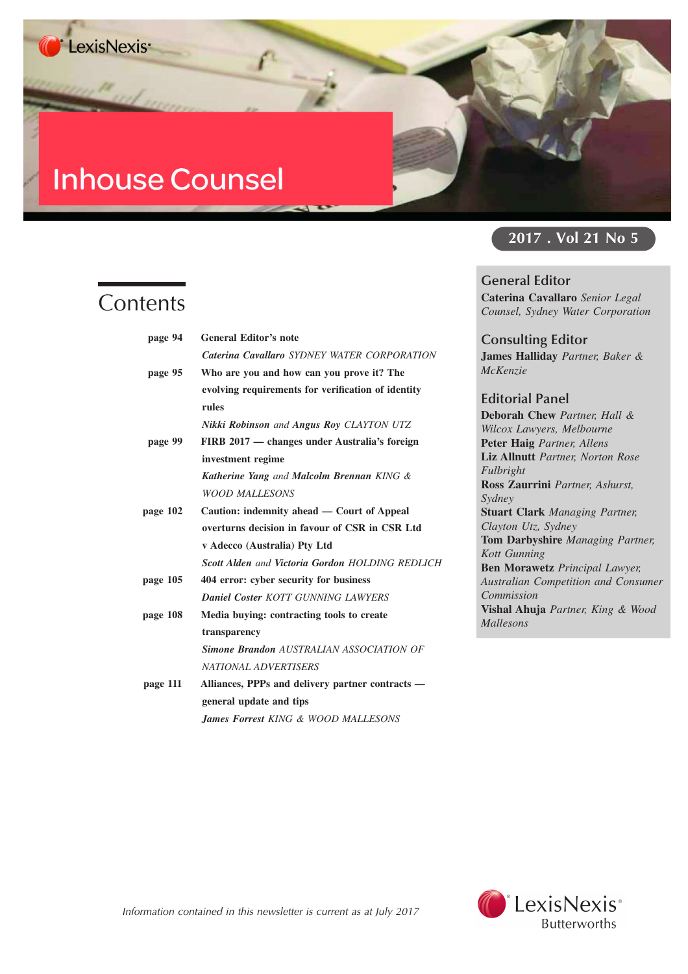# **Inhouse Counsel**

# **Contents**

| page 94  | <b>General Editor's note</b>                            |
|----------|---------------------------------------------------------|
|          | Caterina Cavallaro SYDNEY WATER CORPORATION             |
| page 95  | Who are you and how can you prove it? The               |
|          | evolving requirements for verification of identity      |
|          | rules                                                   |
|          | Nikki Robinson and Angus Roy CLAYTON UTZ                |
| page 99  | FIRB 2017 — changes under Australia's foreign           |
|          | investment regime                                       |
|          | <b>Katherine Yang</b> and <b>Malcolm Brennan</b> KING & |
|          | <b>WOOD MALLESONS</b>                                   |
| page 102 | Caution: indemnity ahead — Court of Appeal              |
|          | overturns decision in favour of CSR in CSR Ltd          |
|          | v Adecco (Australia) Pty Ltd                            |
|          | <b>Scott Alden and Victoria Gordon HOLDING REDLICH</b>  |
| page 105 | 404 error: cyber security for business                  |
|          | <b>Daniel Coster KOTT GUNNING LAWYERS</b>               |
| page 108 | Media buying: contracting tools to create               |
|          | transparency                                            |
|          | <b>Simone Brandon AUSTRALIAN ASSOCIATION OF</b>         |
|          | <b>NATIONAL ADVERTISERS</b>                             |
| page 111 | Alliances, PPPs and delivery partner contracts —        |
|          | general update and tips                                 |
|          | <b>James Forrest KING &amp; WOOD MALLESONS</b>          |

# **2017 . Vol 21 No 5**

**General Editor Caterina Cavallaro** *Senior Legal Counsel, Sydney Water Corporation*

**Consulting Editor James Halliday** *Partner, Baker & McKenzie*

## **Editorial Panel**

**Deborah Chew** *Partner, Hall & Wilcox Lawyers, Melbourne* **Peter Haig** *Partner, Allens* **Liz Allnutt** *Partner, Norton Rose Fulbright* **Ross Zaurrini** *Partner, Ashurst, Sydney* **Stuart Clark** *Managing Partner, Clayton Utz, Sydney* **Tom Darbyshire** *Managing Partner, Kott Gunning* **Ben Morawetz** *Principal Lawyer, Australian Competition and Consumer Commission* **Vishal Ahuja** *Partner, King & Wood Mallesons*

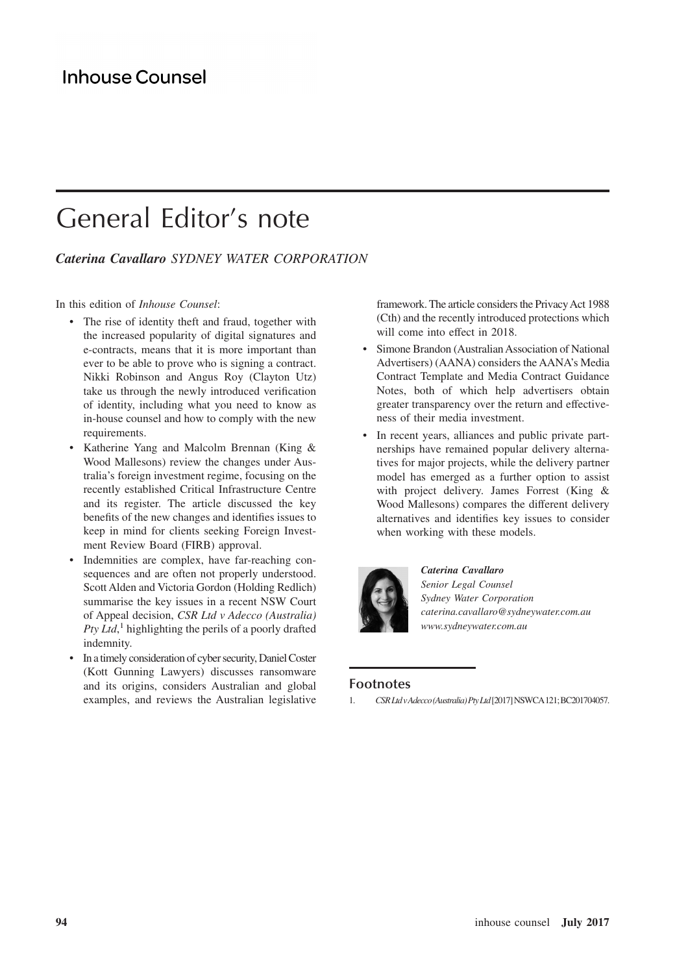# General Editor's note

## *Caterina Cavallaro SYDNEY WATER CORPORATION*

In this edition of *Inhouse Counsel*:

- The rise of identity theft and fraud, together with the increased popularity of digital signatures and e-contracts, means that it is more important than ever to be able to prove who is signing a contract. Nikki Robinson and Angus Roy (Clayton Utz) take us through the newly introduced verification of identity, including what you need to know as in-house counsel and how to comply with the new requirements.
- Katherine Yang and Malcolm Brennan (King & Wood Mallesons) review the changes under Australia's foreign investment regime, focusing on the recently established Critical Infrastructure Centre and its register. The article discussed the key benefits of the new changes and identifies issues to keep in mind for clients seeking Foreign Investment Review Board (FIRB) approval.
- Indemnities are complex, have far-reaching consequences and are often not properly understood. Scott Alden and Victoria Gordon (Holding Redlich) summarise the key issues in a recent NSW Court of Appeal decision, *CSR Ltd v Adecco (Australia)* Pty Ltd,<sup>1</sup> highlighting the perils of a poorly drafted indemnity.
- In a timely consideration of cyber security, Daniel Coster (Kott Gunning Lawyers) discusses ransomware and its origins, considers Australian and global examples, and reviews the Australian legislative

framework. The article considers the Privacy Act 1988 (Cth) and the recently introduced protections which will come into effect in 2018.

- Simone Brandon (Australian Association of National Advertisers) (AANA) considers the AANA's Media Contract Template and Media Contract Guidance Notes, both of which help advertisers obtain greater transparency over the return and effectiveness of their media investment.
- In recent years, alliances and public private partnerships have remained popular delivery alternatives for major projects, while the delivery partner model has emerged as a further option to assist with project delivery. James Forrest (King & Wood Mallesons) compares the different delivery alternatives and identifies key issues to consider when working with these models.



*Caterina Cavallaro Senior Legal Counsel Sydney Water Corporation caterina.cavallaro@sydneywater.com.au www.sydneywater.com.au*

#### **Footnotes**

1. *CSRLtdvAdecco(Australia)PtyLtd*[2017]NSWCA121;BC201704057.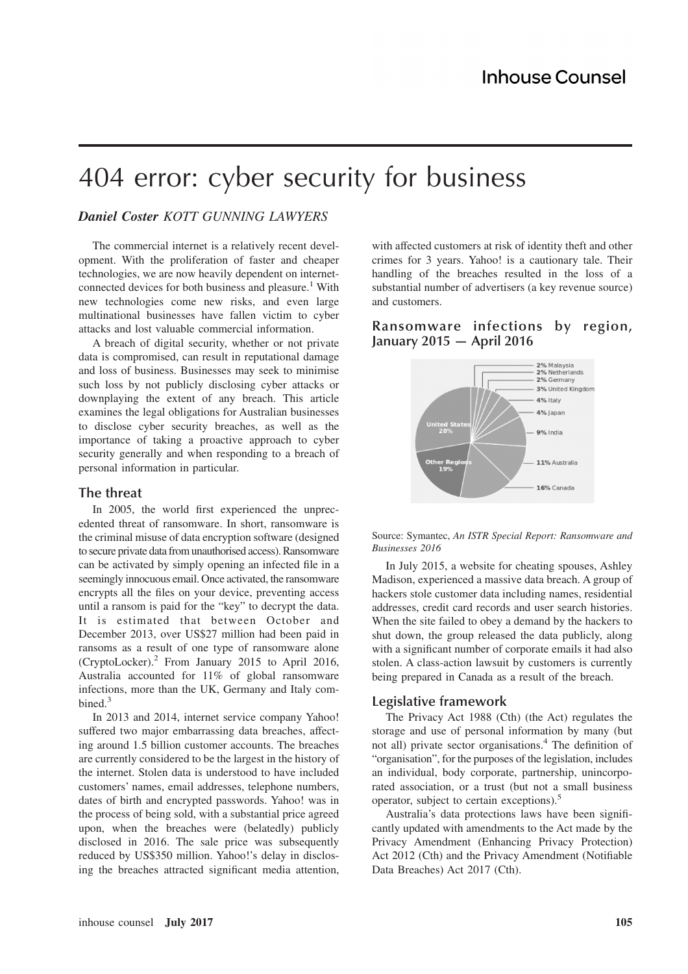# 404 error: cyber security for business

## *Daniel Coster KOTT GUNNING LAWYERS*

The commercial internet is a relatively recent development. With the proliferation of faster and cheaper technologies, we are now heavily dependent on internetconnected devices for both business and pleasure.<sup>1</sup> With new technologies come new risks, and even large multinational businesses have fallen victim to cyber attacks and lost valuable commercial information.

A breach of digital security, whether or not private data is compromised, can result in reputational damage and loss of business. Businesses may seek to minimise such loss by not publicly disclosing cyber attacks or downplaying the extent of any breach. This article examines the legal obligations for Australian businesses to disclose cyber security breaches, as well as the importance of taking a proactive approach to cyber security generally and when responding to a breach of personal information in particular.

#### **The threat**

In 2005, the world first experienced the unprecedented threat of ransomware. In short, ransomware is the criminal misuse of data encryption software (designed to secure private data from unauthorised access). Ransomware can be activated by simply opening an infected file in a seemingly innocuous email. Once activated, the ransomware encrypts all the files on your device, preventing access until a ransom is paid for the "key" to decrypt the data. It is estimated that between October and December 2013, over US\$27 million had been paid in ransoms as a result of one type of ransomware alone (CryptoLocker).<sup>2</sup> From January 2015 to April 2016, Australia accounted for 11% of global ransomware infections, more than the UK, Germany and Italy combined.<sup>3</sup>

In 2013 and 2014, internet service company Yahoo! suffered two major embarrassing data breaches, affecting around 1.5 billion customer accounts. The breaches are currently considered to be the largest in the history of the internet. Stolen data is understood to have included customers' names, email addresses, telephone numbers, dates of birth and encrypted passwords. Yahoo! was in the process of being sold, with a substantial price agreed upon, when the breaches were (belatedly) publicly disclosed in 2016. The sale price was subsequently reduced by US\$350 million. Yahoo!'s delay in disclosing the breaches attracted significant media attention,

with affected customers at risk of identity theft and other crimes for 3 years. Yahoo! is a cautionary tale. Their handling of the breaches resulted in the loss of a substantial number of advertisers (a key revenue source) and customers.

## **Ransomware infections by region, January 2015 — April 2016**



Source: Symantec, *An ISTR Special Report: Ransomware and Businesses 2016*

In July 2015, a website for cheating spouses, Ashley Madison, experienced a massive data breach. A group of hackers stole customer data including names, residential addresses, credit card records and user search histories. When the site failed to obey a demand by the hackers to shut down, the group released the data publicly, along with a significant number of corporate emails it had also stolen. A class-action lawsuit by customers is currently being prepared in Canada as a result of the breach.

#### **Legislative framework**

The Privacy Act 1988 (Cth) (the Act) regulates the storage and use of personal information by many (but not all) private sector organisations.<sup>4</sup> The definition of "organisation", for the purposes of the legislation, includes an individual, body corporate, partnership, unincorporated association, or a trust (but not a small business operator, subject to certain exceptions).<sup>5</sup>

Australia's data protections laws have been significantly updated with amendments to the Act made by the Privacy Amendment (Enhancing Privacy Protection) Act 2012 (Cth) and the Privacy Amendment (Notifiable Data Breaches) Act 2017 (Cth).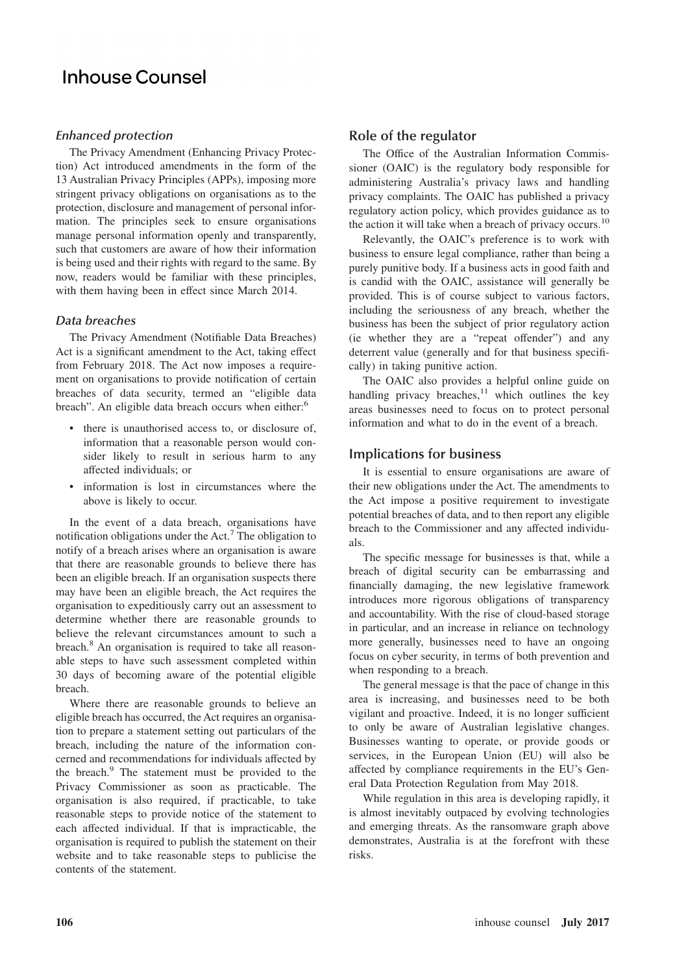# **Inhouse Counsel**

#### *Enhanced protection*

The Privacy Amendment (Enhancing Privacy Protection) Act introduced amendments in the form of the 13 Australian Privacy Principles (APPs), imposing more stringent privacy obligations on organisations as to the protection, disclosure and management of personal information. The principles seek to ensure organisations manage personal information openly and transparently, such that customers are aware of how their information is being used and their rights with regard to the same. By now, readers would be familiar with these principles, with them having been in effect since March 2014.

#### *Data breaches*

The Privacy Amendment (Notifiable Data Breaches) Act is a significant amendment to the Act, taking effect from February 2018. The Act now imposes a requirement on organisations to provide notification of certain breaches of data security, termed an "eligible data breach". An eligible data breach occurs when either:<sup>6</sup>

- there is unauthorised access to, or disclosure of, information that a reasonable person would consider likely to result in serious harm to any affected individuals; or
- information is lost in circumstances where the above is likely to occur.

In the event of a data breach, organisations have notification obligations under the Act.<sup>7</sup> The obligation to notify of a breach arises where an organisation is aware that there are reasonable grounds to believe there has been an eligible breach. If an organisation suspects there may have been an eligible breach, the Act requires the organisation to expeditiously carry out an assessment to determine whether there are reasonable grounds to believe the relevant circumstances amount to such a breach.<sup>8</sup> An organisation is required to take all reasonable steps to have such assessment completed within 30 days of becoming aware of the potential eligible breach.

Where there are reasonable grounds to believe an eligible breach has occurred, the Act requires an organisation to prepare a statement setting out particulars of the breach, including the nature of the information concerned and recommendations for individuals affected by the breach.<sup>9</sup> The statement must be provided to the Privacy Commissioner as soon as practicable. The organisation is also required, if practicable, to take reasonable steps to provide notice of the statement to each affected individual. If that is impracticable, the organisation is required to publish the statement on their website and to take reasonable steps to publicise the contents of the statement.

### **Role of the regulator**

The Office of the Australian Information Commissioner (OAIC) is the regulatory body responsible for administering Australia's privacy laws and handling privacy complaints. The OAIC has published a privacy regulatory action policy, which provides guidance as to the action it will take when a breach of privacy occurs.<sup>10</sup>

Relevantly, the OAIC's preference is to work with business to ensure legal compliance, rather than being a purely punitive body. If a business acts in good faith and is candid with the OAIC, assistance will generally be provided. This is of course subject to various factors, including the seriousness of any breach, whether the business has been the subject of prior regulatory action (ie whether they are a "repeat offender") and any deterrent value (generally and for that business specifically) in taking punitive action.

The OAIC also provides a helpful online guide on handling privacy breaches, $11$  which outlines the key areas businesses need to focus on to protect personal information and what to do in the event of a breach.

### **Implications for business**

It is essential to ensure organisations are aware of their new obligations under the Act. The amendments to the Act impose a positive requirement to investigate potential breaches of data, and to then report any eligible breach to the Commissioner and any affected individuals.

The specific message for businesses is that, while a breach of digital security can be embarrassing and financially damaging, the new legislative framework introduces more rigorous obligations of transparency and accountability. With the rise of cloud-based storage in particular, and an increase in reliance on technology more generally, businesses need to have an ongoing focus on cyber security, in terms of both prevention and when responding to a breach.

The general message is that the pace of change in this area is increasing, and businesses need to be both vigilant and proactive. Indeed, it is no longer sufficient to only be aware of Australian legislative changes. Businesses wanting to operate, or provide goods or services, in the European Union (EU) will also be affected by compliance requirements in the EU's General Data Protection Regulation from May 2018.

While regulation in this area is developing rapidly, it is almost inevitably outpaced by evolving technologies and emerging threats. As the ransomware graph above demonstrates, Australia is at the forefront with these risks.